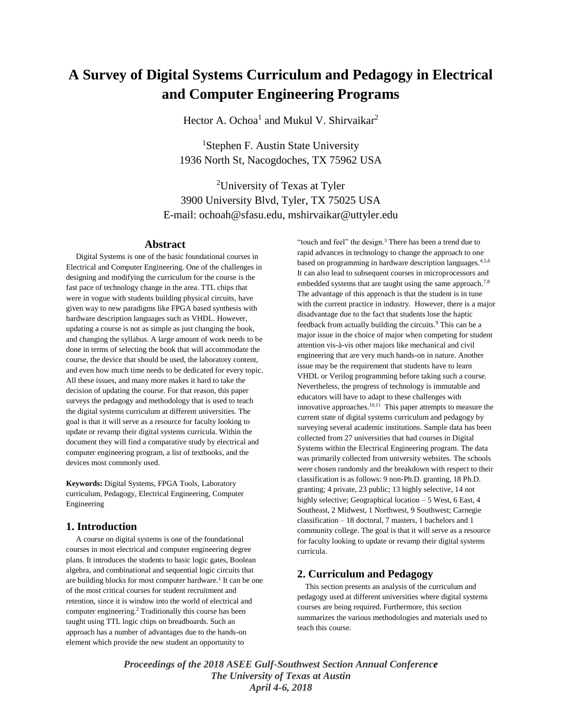# **A Survey of Digital Systems Curriculum and Pedagogy in Electrical and Computer Engineering Programs**

Hector A. Ochoa<sup>1</sup> and Mukul V. Shirvaikar<sup>2</sup>

<sup>1</sup>Stephen F. Austin State University 1936 North St, Nacogdoches, TX 75962 USA

<sup>2</sup>University of Texas at Tyler 3900 University Blvd, Tyler, TX 75025 USA E-mail: ochoah@sfasu.edu, mshirvaikar@uttyler.edu

#### **Abstract**

 Digital Systems is one of the basic foundational courses in Electrical and Computer Engineering. One of the challenges in designing and modifying the curriculum for the course is the fast pace of technology change in the area. TTL chips that were in vogue with students building physical circuits, have given way to new paradigms like FPGA based synthesis with hardware description languages such as VHDL. However, updating a course is not as simple as just changing the book, and changing the syllabus. A large amount of work needs to be done in terms of selecting the book that will accommodate the course, the device that should be used, the laboratory content, and even how much time needs to be dedicated for every topic. All these issues, and many more makes it hard to take the decision of updating the course. For that reason, this paper surveys the pedagogy and methodology that is used to teach the digital systems curriculum at different universities. The goal is that it will serve as a resource for faculty looking to update or revamp their digital systems curricula. Within the document they will find a comparative study by electrical and computer engineering program, a list of textbooks, and the devices most commonly used.

**Keywords:** Digital Systems, FPGA Tools, Laboratory curriculum, Pedagogy, Electrical Engineering, Computer Engineering

## **1. Introduction**

 A course on digital systems is one of the foundational courses in most electrical and computer engineering degree plans. It introduces the students to basic logic gates, Boolean algebra, and combinational and sequential logic circuits that are building blocks for most computer hardware.<sup>1</sup> It can be one of the most critical courses for student recruitment and retention, since it is window into the world of electrical and computer engineering.<sup>2</sup> Traditionally this course has been taught using TTL logic chips on breadboards. Such an approach has a number of advantages due to the hands-on element which provide the new student an opportunity to

"touch and feel" the design.<sup>3</sup> There has been a trend due to rapid advances in technology to change the approach to one based on programming in hardware description languages.4,5,6 It can also lead to subsequent courses in microprocessors and embedded systems that are taught using the same approach.<sup>7,8</sup> The advantage of this approach is that the student is in tune with the current practice in industry. However, there is a major disadvantage due to the fact that students lose the haptic feedback from actually building the circuits.<sup>9</sup> This can be a major issue in the choice of major when competing for student attention vis-à-vis other majors like mechanical and civil engineering that are very much hands-on in nature. Another issue may be the requirement that students have to learn VHDL or Verilog programming before taking such a course. Nevertheless, the progress of technology is immutable and educators will have to adapt to these challenges with innovative approaches. $10,11$  This paper attempts to measure the current state of digital systems curriculum and pedagogy by surveying several academic institutions. Sample data has been collected from 27 universities that had courses in Digital Systems within the Electrical Engineering program. The data was primarily collected from university websites. The schools were chosen randomly and the breakdown with respect to their classification is as follows: 9 non-Ph.D. granting, 18 Ph.D. granting; 4 private, 23 public; 13 highly selective, 14 not highly selective; Geographical location - 5 West, 6 East, 4 Southeast, 2 Midwest, 1 Northwest, 9 Southwest; Carnegie classification – 18 doctoral, 7 masters, 1 bachelors and 1 community college. The goal is that it will serve as a resource for faculty looking to update or revamp their digital systems curricula.

## **2. Curriculum and Pedagogy**

 This section presents an analysis of the curriculum and pedagogy used at different universities where digital systems courses are being required. Furthermore, this section summarizes the various methodologies and materials used to teach this course.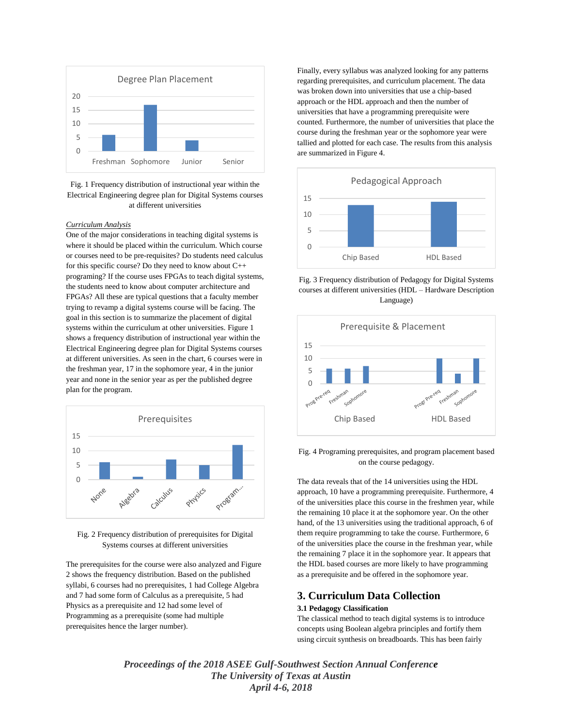

Fig. 1 Frequency distribution of instructional year within the Electrical Engineering degree plan for Digital Systems courses at different universities

#### *Curriculum Analysis*

One of the major considerations in teaching digital systems is where it should be placed within the curriculum. Which course or courses need to be pre-requisites? Do students need calculus for this specific course? Do they need to know about C++ programing? If the course uses FPGAs to teach digital systems, the students need to know about computer architecture and FPGAs? All these are typical questions that a faculty member trying to revamp a digital systems course will be facing. The goal in this section is to summarize the placement of digital systems within the curriculum at other universities. Figure 1 shows a frequency distribution of instructional year within the Electrical Engineering degree plan for Digital Systems courses at different universities. As seen in the chart, 6 courses were in the freshman year, 17 in the sophomore year, 4 in the junior year and none in the senior year as per the published degree plan for the program.



Fig. 2 Frequency distribution of prerequisites for Digital Systems courses at different universities

The prerequisites for the course were also analyzed and Figure 2 shows the frequency distribution. Based on the published syllabi, 6 courses had no prerequisites, 1 had College Algebra and 7 had some form of Calculus as a prerequisite, 5 had Physics as a prerequisite and 12 had some level of Programming as a prerequisite (some had multiple prerequisites hence the larger number).

Finally, every syllabus was analyzed looking for any patterns regarding prerequisites, and curriculum placement. The data was broken down into universities that use a chip-based approach or the HDL approach and then the number of universities that have a programming prerequisite were counted. Furthermore, the number of universities that place the course during the freshman year or the sophomore year were tallied and plotted for each case. The results from this analysis are summarized in Figure 4.



Fig. 3 Frequency distribution of Pedagogy for Digital Systems courses at different universities (HDL – Hardware Description Language)



Fig. 4 Programing prerequisites, and program placement based on the course pedagogy.

The data reveals that of the 14 universities using the HDL approach, 10 have a programming prerequisite. Furthermore, 4 of the universities place this course in the freshmen year, while the remaining 10 place it at the sophomore year. On the other hand, of the 13 universities using the traditional approach, 6 of them require programming to take the course. Furthermore, 6 of the universities place the course in the freshman year, while the remaining 7 place it in the sophomore year. It appears that the HDL based courses are more likely to have programming as a prerequisite and be offered in the sophomore year.

## **3. Curriculum Data Collection**

## **3.1 Pedagogy Classification**

The classical method to teach digital systems is to introduce concepts using Boolean algebra principles and fortify them using circuit synthesis on breadboards. This has been fairly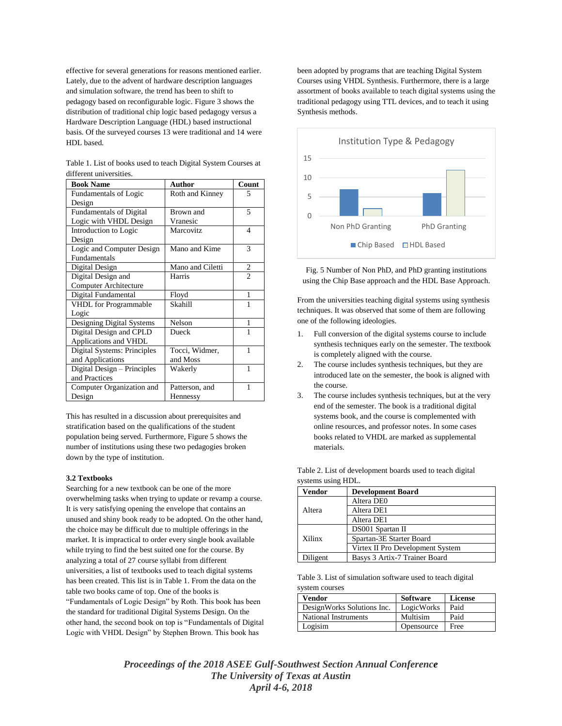effective for several generations for reasons mentioned earlier. Lately, due to the advent of hardware description languages and simulation software, the trend has been to shift to pedagogy based on reconfigurable logic. Figure 3 shows the distribution of traditional chip logic based pedagogy versus a Hardware Description Language (HDL) based instructional basis. Of the surveyed courses 13 were traditional and 14 were HDL based.

| <b>Book Name</b>               | <b>Author</b>    | Count          |
|--------------------------------|------------------|----------------|
| <b>Fundamentals of Logic</b>   | Roth and Kinney  | 5              |
| Design                         |                  |                |
| <b>Fundamentals of Digital</b> | Brown and        | 5              |
| Logic with VHDL Design         | Vranesic         |                |
| Introduction to Logic          | Marcovitz        | $\overline{4}$ |
| Design                         |                  |                |
| Logic and Computer Design      | Mano and Kime    | 3              |
| Fundamentals                   |                  |                |
| Digital Design                 | Mano and Ciletti | $\overline{c}$ |
| Digital Design and             | Harris           | $\overline{2}$ |
| Computer Architecture          |                  |                |
| Digital Fundamental            | Floyd            | 1              |
| <b>VHDL</b> for Programmable   | Skahill          | 1              |
| Logic                          |                  |                |
| Designing Digital Systems      | Nelson           | 1              |
| Digital Design and CPLD        | Dueck            | 1              |
| Applications and VHDL          |                  |                |
| Digital Systems: Principles    | Tocci, Widmer,   | 1              |
| and Applications               | and Moss         |                |
| Digital Design – Principles    | Wakerly          | 1              |
| and Practices                  |                  |                |
| Computer Organization and      | Patterson, and   | 1              |
| Design                         | Hennessy         |                |

| Table 1. List of books used to teach Digital System Courses at |  |
|----------------------------------------------------------------|--|
| different universities.                                        |  |

This has resulted in a discussion about prerequisites and stratification based on the qualifications of the student population being served. Furthermore, Figure 5 shows the number of institutions using these two pedagogies broken down by the type of institution.

#### **3.2 Textbooks**

Searching for a new textbook can be one of the more overwhelming tasks when trying to update or revamp a course. It is very satisfying opening the envelope that contains an unused and shiny book ready to be adopted. On the other hand, the choice may be difficult due to multiple offerings in the market. It is impractical to order every single book available while trying to find the best suited one for the course. By analyzing a total of 27 course syllabi from different universities, a list of textbooks used to teach digital systems has been created. This list is in Table 1. From the data on the table two books came of top. One of the books is "Fundamentals of Logic Design" by Roth. This book has been the standard for traditional Digital Systems Design. On the other hand, the second book on top is "Fundamentals of Digital Logic with VHDL Design" by Stephen Brown. This book has

been adopted by programs that are teaching Digital System Courses using VHDL Synthesis. Furthermore, there is a large assortment of books available to teach digital systems using the traditional pedagogy using TTL devices, and to teach it using Synthesis methods.



Fig. 5 Number of Non PhD, and PhD granting institutions using the Chip Base approach and the HDL Base Approach.

From the universities teaching digital systems using synthesis techniques. It was observed that some of them are following one of the following ideologies.

- 1. Full conversion of the digital systems course to include synthesis techniques early on the semester. The textbook is completely aligned with the course.
- 2. The course includes synthesis techniques, but they are introduced late on the semester, the book is aligned with the course.
- 3. The course includes synthesis techniques, but at the very end of the semester. The book is a traditional digital systems book, and the course is complemented with online resources, and professor notes. In some cases books related to VHDL are marked as supplemental materials.

| Vendor   | <b>Development Board</b>         |  |
|----------|----------------------------------|--|
|          | Altera DE0                       |  |
| Altera   | Altera DE1                       |  |
|          | Altera DE1                       |  |
|          | DS001 Spartan II                 |  |
| Xilinx   | Spartan-3E Starter Board         |  |
|          | Virtex II Pro Development System |  |
| Diligent | Basys 3 Artix-7 Trainer Board    |  |

Table 2. List of development boards used to teach digital systems using HDL.

Table 3. List of simulation software used to teach digital system courses

| Vendor                     | <b>Software</b> | <b>License</b> |
|----------------------------|-----------------|----------------|
| DesignWorks Solutions Inc. | LogicWorks      | Paid           |
| National Instruments       | Multisim        | Paid           |
| Logisim                    | Opensource      | Free           |